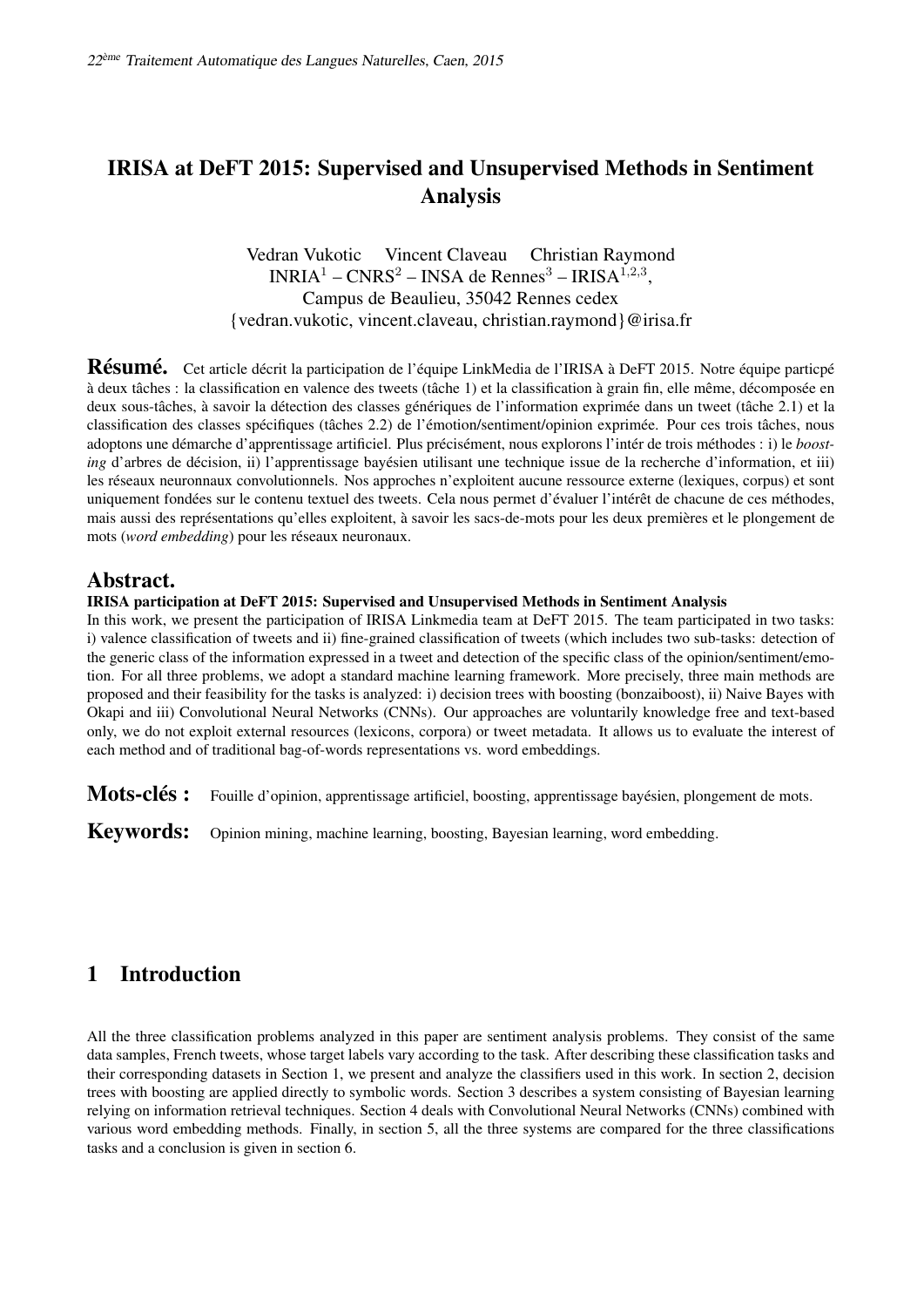# IRISA at DeFT 2015: Supervised and Unsupervised Methods in Sentiment Analysis

Vedran Vukotic Vincent Claveau Christian Raymond  $INRIA<sup>1</sup> - CNRS<sup>2</sup> - INSA de Rennes<sup>3</sup> - IRISA<sup>1,2,3</sup>,$ Campus de Beaulieu, 35042 Rennes cedex {vedran.vukotic, vincent.claveau, christian.raymond}@irisa.fr

Résumé. Cet article décrit la participation de l'équipe LinkMedia de l'IRISA à DeFT 2015. Notre équipe particpé à deux tâches : la classification en valence des tweets (tâche 1) et la classification à grain fin, elle même, décomposée en deux sous-tâches, à savoir la détection des classes génériques de l'information exprimée dans un tweet (tâche 2.1) et la classification des classes spécifiques (tâches 2.2) de l'émotion/sentiment/opinion exprimée. Pour ces trois tâches, nous adoptons une démarche d'apprentissage artificiel. Plus précisément, nous explorons l'intér de trois méthodes : i) le *boosting* d'arbres de décision, ii) l'apprentissage bayésien utilisant une technique issue de la recherche d'information, et iii) les réseaux neuronnaux convolutionnels. Nos approches n'exploitent aucune ressource externe (lexiques, corpus) et sont uniquement fondées sur le contenu textuel des tweets. Cela nous permet d'évaluer l'intérêt de chacune de ces méthodes, mais aussi des représentations qu'elles exploitent, à savoir les sacs-de-mots pour les deux premières et le plongement de mots (*word embedding*) pour les réseaux neuronaux.

## Abstract.

#### IRISA participation at DeFT 2015: Supervised and Unsupervised Methods in Sentiment Analysis

In this work, we present the participation of IRISA Linkmedia team at DeFT 2015. The team participated in two tasks: i) valence classification of tweets and ii) fine-grained classification of tweets (which includes two sub-tasks: detection of the generic class of the information expressed in a tweet and detection of the specific class of the opinion/sentiment/emotion. For all three problems, we adopt a standard machine learning framework. More precisely, three main methods are proposed and their feasibility for the tasks is analyzed: i) decision trees with boosting (bonzaiboost), ii) Naive Bayes with Okapi and iii) Convolutional Neural Networks (CNNs). Our approaches are voluntarily knowledge free and text-based only, we do not exploit external resources (lexicons, corpora) or tweet metadata. It allows us to evaluate the interest of each method and of traditional bag-of-words representations vs. word embeddings.

Mots-clés : Fouille d'opinion, apprentissage artificiel, boosting, apprentissage bayésien, plongement de mots.

Keywords: Opinion mining, machine learning, boosting, Bayesian learning, word embedding.

# <span id="page-0-0"></span>1 Introduction

All the three classification problems analyzed in this paper are sentiment analysis problems. They consist of the same data samples, French tweets, whose target labels vary according to the task. After describing these classification tasks and their corresponding datasets in Section [1,](#page-0-0) we present and analyze the classifiers used in this work. In section [2,](#page-1-0) decision trees with boosting are applied directly to symbolic words. Section [3](#page-3-0) describes a system consisting of Bayesian learning relying on information retrieval techniques. Section [4](#page-5-0) deals with Convolutional Neural Networks (CNNs) combined with various word embedding methods. Finally, in section [5,](#page-8-0) all the three systems are compared for the three classifications tasks and a conclusion is given in section [6.](#page-10-0)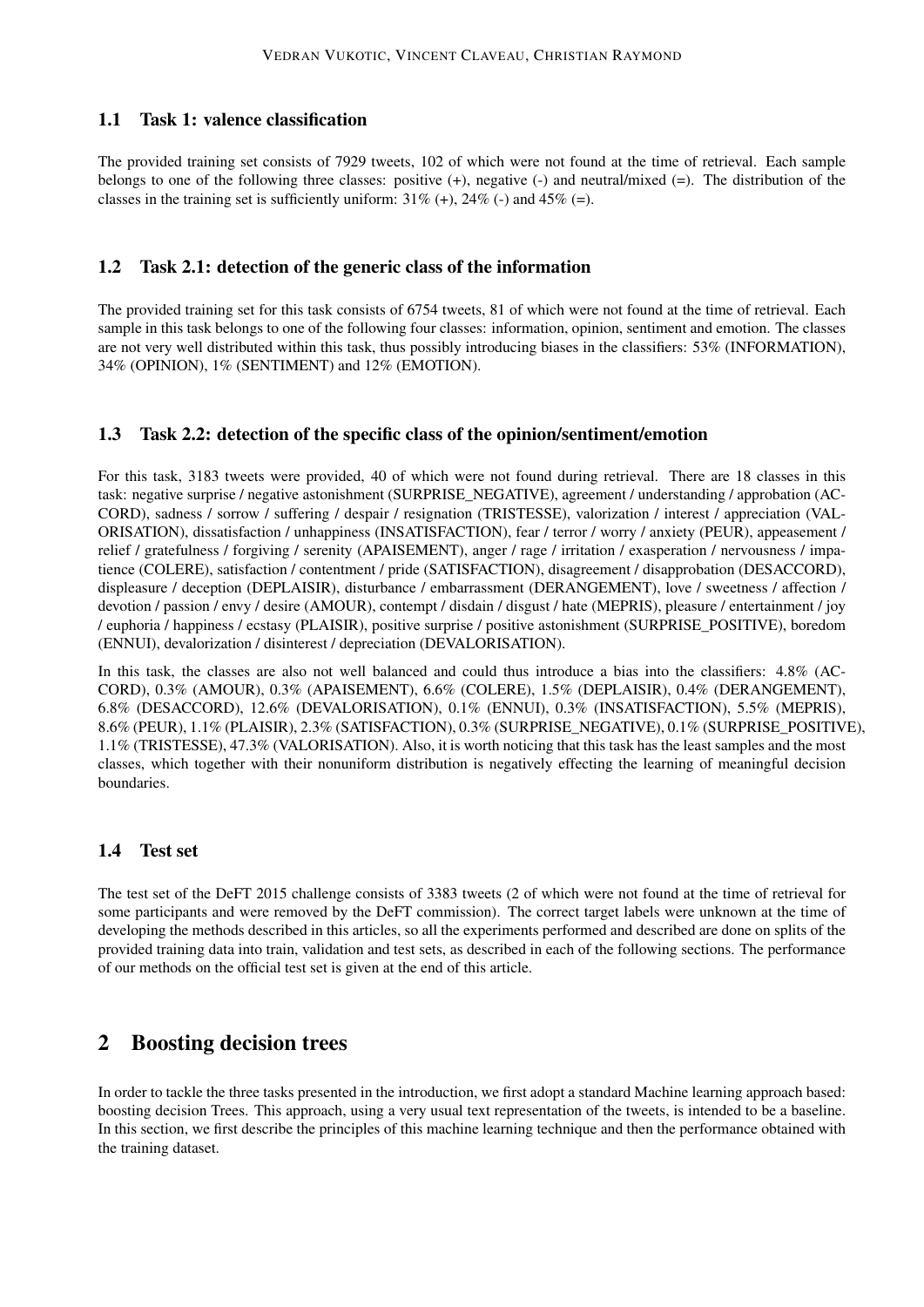## 1.1 Task 1: valence classification

The provided training set consists of 7929 tweets, 102 of which were not found at the time of retrieval. Each sample belongs to one of the following three classes: positive  $(+)$ , negative  $(-)$  and neutral/mixed  $(=)$ . The distribution of the classes in the training set is sufficiently uniform:  $31\%$  (+),  $24\%$  (-) and  $45\%$  (=).

## 1.2 Task 2.1: detection of the generic class of the information

The provided training set for this task consists of 6754 tweets, 81 of which were not found at the time of retrieval. Each sample in this task belongs to one of the following four classes: information, opinion, sentiment and emotion. The classes are not very well distributed within this task, thus possibly introducing biases in the classifiers: 53% (INFORMATION), 34% (OPINION), 1% (SENTIMENT) and 12% (EMOTION).

## 1.3 Task 2.2: detection of the specific class of the opinion/sentiment/emotion

For this task, 3183 tweets were provided, 40 of which were not found during retrieval. There are 18 classes in this task: negative surprise / negative astonishment (SURPRISE\_NEGATIVE), agreement / understanding / approbation (AC-CORD), sadness / sorrow / suffering / despair / resignation (TRISTESSE), valorization / interest / appreciation (VAL-ORISATION), dissatisfaction / unhappiness (INSATISFACTION), fear / terror / worry / anxiety (PEUR), appeasement / relief / gratefulness / forgiving / serenity (APAISEMENT), anger / rage / irritation / exasperation / nervousness / impatience (COLERE), satisfaction / contentment / pride (SATISFACTION), disagreement / disapprobation (DESACCORD), displeasure / deception (DEPLAISIR), disturbance / embarrassment (DERANGEMENT), love / sweetness / affection / devotion / passion / envy / desire (AMOUR), contempt / disdain / disgust / hate (MEPRIS), pleasure / entertainment / joy / euphoria / happiness / ecstasy (PLAISIR), positive surprise / positive astonishment (SURPRISE\_POSITIVE), boredom (ENNUI), devalorization / disinterest / depreciation (DEVALORISATION).

In this task, the classes are also not well balanced and could thus introduce a bias into the classifiers: 4.8% (AC-CORD), 0.3% (AMOUR), 0.3% (APAISEMENT), 6.6% (COLERE), 1.5% (DEPLAISIR), 0.4% (DERANGEMENT), 6.8% (DESACCORD), 12.6% (DEVALORISATION), 0.1% (ENNUI), 0.3% (INSATISFACTION), 5.5% (MEPRIS), 8.6% (PEUR), 1.1% (PLAISIR), 2.3% (SATISFACTION), 0.3% (SURPRISE\_NEGATIVE), 0.1% (SURPRISE\_POSITIVE), 1.1% (TRISTESSE), 47.3% (VALORISATION). Also, it is worth noticing that this task has the least samples and the most classes, which together with their nonuniform distribution is negatively effecting the learning of meaningful decision boundaries.

## 1.4 Test set

The test set of the DeFT 2015 challenge consists of 3383 tweets (2 of which were not found at the time of retrieval for some participants and were removed by the DeFT commission). The correct target labels were unknown at the time of developing the methods described in this articles, so all the experiments performed and described are done on splits of the provided training data into train, validation and test sets, as described in each of the following sections. The performance of our methods on the official test set is given at the end of this article.

# <span id="page-1-0"></span>2 Boosting decision trees

In order to tackle the three tasks presented in the introduction, we first adopt a standard Machine learning approach based: boosting decision Trees. This approach, using a very usual text representation of the tweets, is intended to be a baseline. In this section, we first describe the principles of this machine learning technique and then the performance obtained with the training dataset.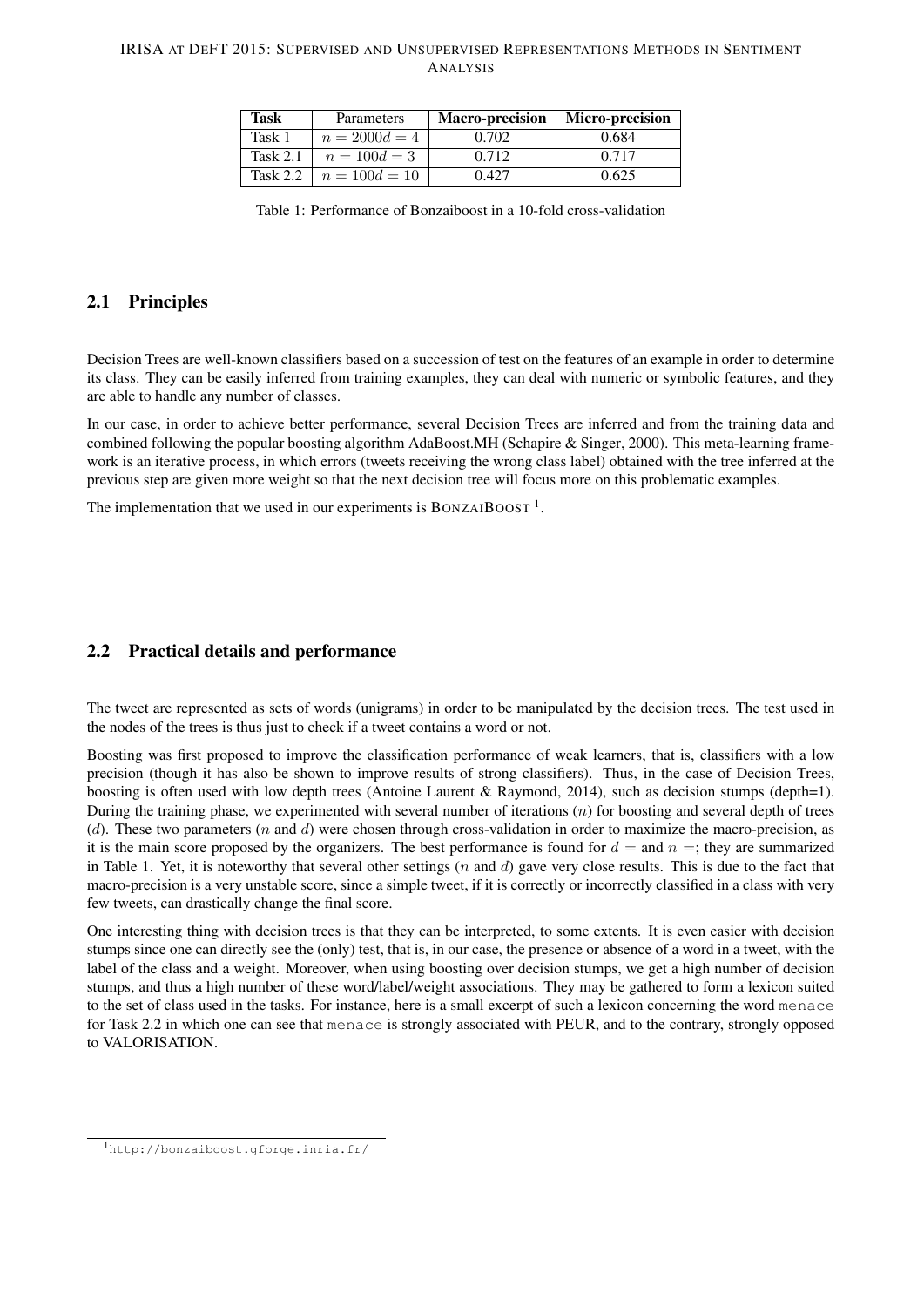<span id="page-2-1"></span>

| Task       | Parameters                 | <b>Macro-precision</b> | Micro-precision |
|------------|----------------------------|------------------------|-----------------|
| Task 1     | $n = 2000d = 4$            | 0.702                  | 0.684           |
| Task $2.1$ | $n = 100d = 3$             | 0.712                  | 0.717           |
|            | Task 2.2   $n = 100d = 10$ | 0.427                  | 0.625           |

Table 1: Performance of Bonzaiboost in a 10-fold cross-validation

## 2.1 Principles

Decision Trees are well-known classifiers based on a succession of test on the features of an example in order to determine its class. They can be easily inferred from training examples, they can deal with numeric or symbolic features, and they are able to handle any number of classes.

In our case, in order to achieve better performance, several Decision Trees are inferred and from the training data and combined following the popular boosting algorithm AdaBoost.MH [\(Schapire & Singer, 2000\)](#page-11-0). This meta-learning framework is an iterative process, in which errors (tweets receiving the wrong class label) obtained with the tree inferred at the previous step are given more weight so that the next decision tree will focus more on this problematic examples.

The implementation that we used in our experiments is  $\text{BONZAIBOOST}^{-1}$  $\text{BONZAIBOOST}^{-1}$  $\text{BONZAIBOOST}^{-1}$ .

## 2.2 Practical details and performance

The tweet are represented as sets of words (unigrams) in order to be manipulated by the decision trees. The test used in the nodes of the trees is thus just to check if a tweet contains a word or not.

Boosting was first proposed to improve the classification performance of weak learners, that is, classifiers with a low precision (though it has also be shown to improve results of strong classifiers). Thus, in the case of Decision Trees, boosting is often used with low depth trees [\(Antoine Laurent & Raymond, 2014\)](#page-11-1), such as decision stumps (depth=1). During the training phase, we experimented with several number of iterations  $(n)$  for boosting and several depth of trees (d). These two parameters (n and d) were chosen through cross-validation in order to maximize the macro-precision, as it is the main score proposed by the organizers. The best performance is found for  $d =$  and  $n =$ ; they are summarized in Table [1.](#page-2-1) Yet, it is noteworthy that several other settings  $(n \text{ and } d)$  gave very close results. This is due to the fact that macro-precision is a very unstable score, since a simple tweet, if it is correctly or incorrectly classified in a class with very few tweets, can drastically change the final score.

One interesting thing with decision trees is that they can be interpreted, to some extents. It is even easier with decision stumps since one can directly see the (only) test, that is, in our case, the presence or absence of a word in a tweet, with the label of the class and a weight. Moreover, when using boosting over decision stumps, we get a high number of decision stumps, and thus a high number of these word/label/weight associations. They may be gathered to form a lexicon suited to the set of class used in the tasks. For instance, here is a small excerpt of such a lexicon concerning the word menace for Task 2.2 in which one can see that menace is strongly associated with PEUR, and to the contrary, strongly opposed to VALORISATION.

<span id="page-2-0"></span><sup>1</sup><http://bonzaiboost.gforge.inria.fr/>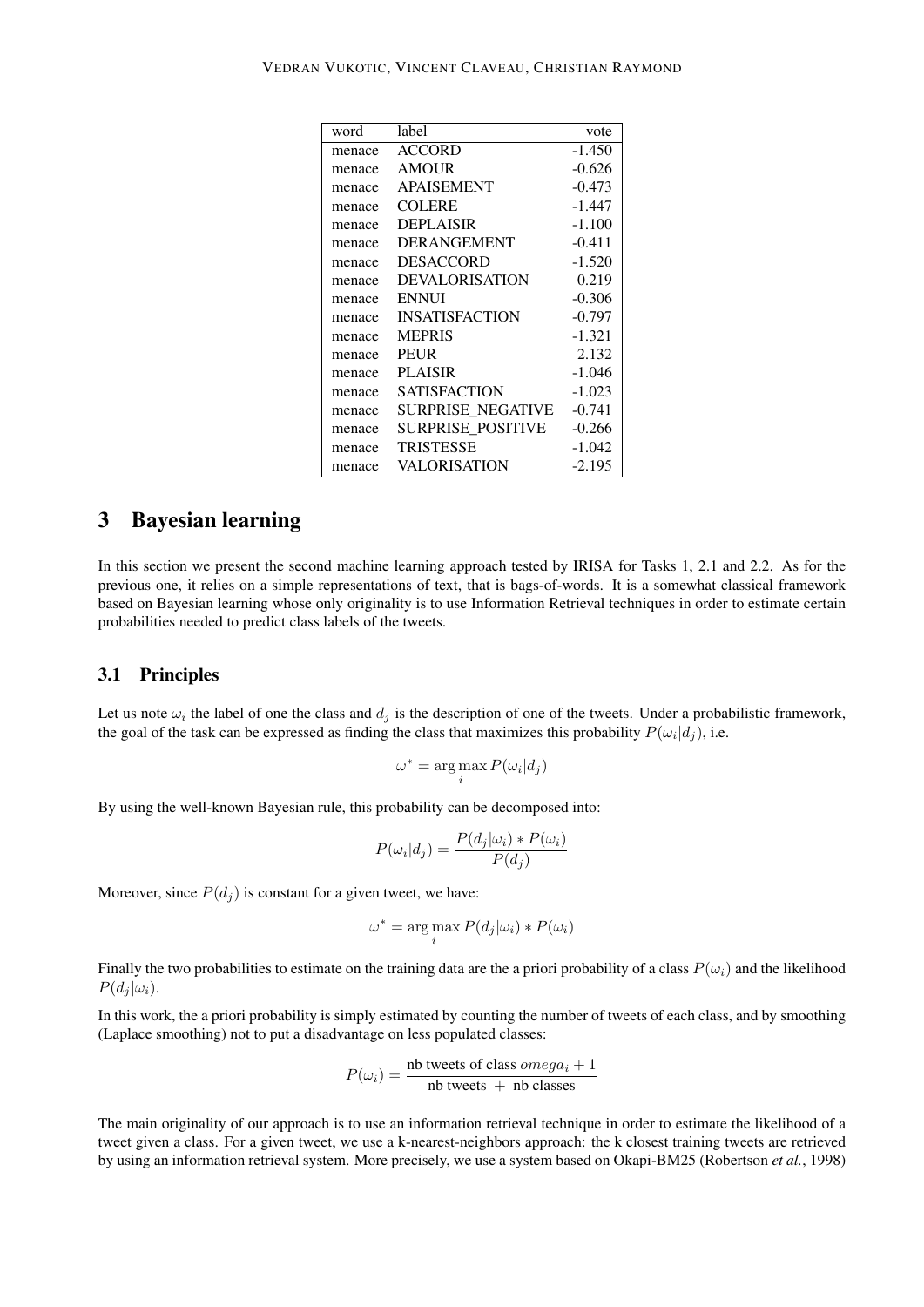| word   | label                    | vote     |
|--------|--------------------------|----------|
| menace | <b>ACCORD</b>            | $-1.450$ |
| menace | <b>AMOUR</b>             | $-0.626$ |
| menace | <b>APAISEMENT</b>        | $-0.473$ |
| menace | COLERE                   | $-1.447$ |
| menace | <b>DEPLAISIR</b>         | $-1.100$ |
| menace | <b>DERANGEMENT</b>       | $-0.411$ |
| menace | <b>DESACCORD</b>         | $-1.520$ |
| menace | <b>DEVALORISATION</b>    | 0.219    |
| menace | <b>ENNUI</b>             | $-0.306$ |
| menace | <b>INSATISFACTION</b>    | $-0.797$ |
| menace | <b>MEPRIS</b>            | $-1.321$ |
| menace | <b>PEUR</b>              | 2.132    |
| menace | <b>PLAISIR</b>           | $-1.046$ |
| menace | <b>SATISFACTION</b>      | $-1.023$ |
| menace | SURPRISE NEGATIVE        | $-0.741$ |
| menace | <b>SURPRISE POSITIVE</b> | $-0.266$ |
| menace | TRISTESSE                | $-1.042$ |
| menace | VALORISATION             | $-2.195$ |

# <span id="page-3-0"></span>3 Bayesian learning

In this section we present the second machine learning approach tested by IRISA for Tasks 1, 2.1 and 2.2. As for the previous one, it relies on a simple representations of text, that is bags-of-words. It is a somewhat classical framework based on Bayesian learning whose only originality is to use Information Retrieval techniques in order to estimate certain probabilities needed to predict class labels of the tweets.

### 3.1 Principles

Let us note  $\omega_i$  the label of one the class and  $d_j$  is the description of one of the tweets. Under a probabilistic framework, the goal of the task can be expressed as finding the class that maximizes this probability  $P(\omega_i|d_j)$ , i.e.

$$
\omega^* = \arg\max_i P(\omega_i | d_j)
$$

By using the well-known Bayesian rule, this probability can be decomposed into:

$$
P(\omega_i|d_j) = \frac{P(d_j|\omega_i) * P(\omega_i)}{P(d_j)}
$$

Moreover, since  $P(d_i)$  is constant for a given tweet, we have:

$$
\omega^* = \arg\max_i P(d_j|\omega_i) * P(\omega_i)
$$

Finally the two probabilities to estimate on the training data are the a priori probability of a class  $P(\omega_i)$  and the likelihood  $P(d_i | \omega_i)$ .

In this work, the a priori probability is simply estimated by counting the number of tweets of each class, and by smoothing (Laplace smoothing) not to put a disadvantage on less populated classes:

$$
P(\omega_i) = \frac{\text{nb tweets of class omega_i + 1}}{\text{nb tweets } + \text{ nb classes}}
$$

The main originality of our approach is to use an information retrieval technique in order to estimate the likelihood of a tweet given a class. For a given tweet, we use a k-nearest-neighbors approach: the k closest training tweets are retrieved by using an information retrieval system. More precisely, we use a system based on Okapi-BM25 [\(Robertson](#page-11-2) *et al.*, [1998\)](#page-11-2)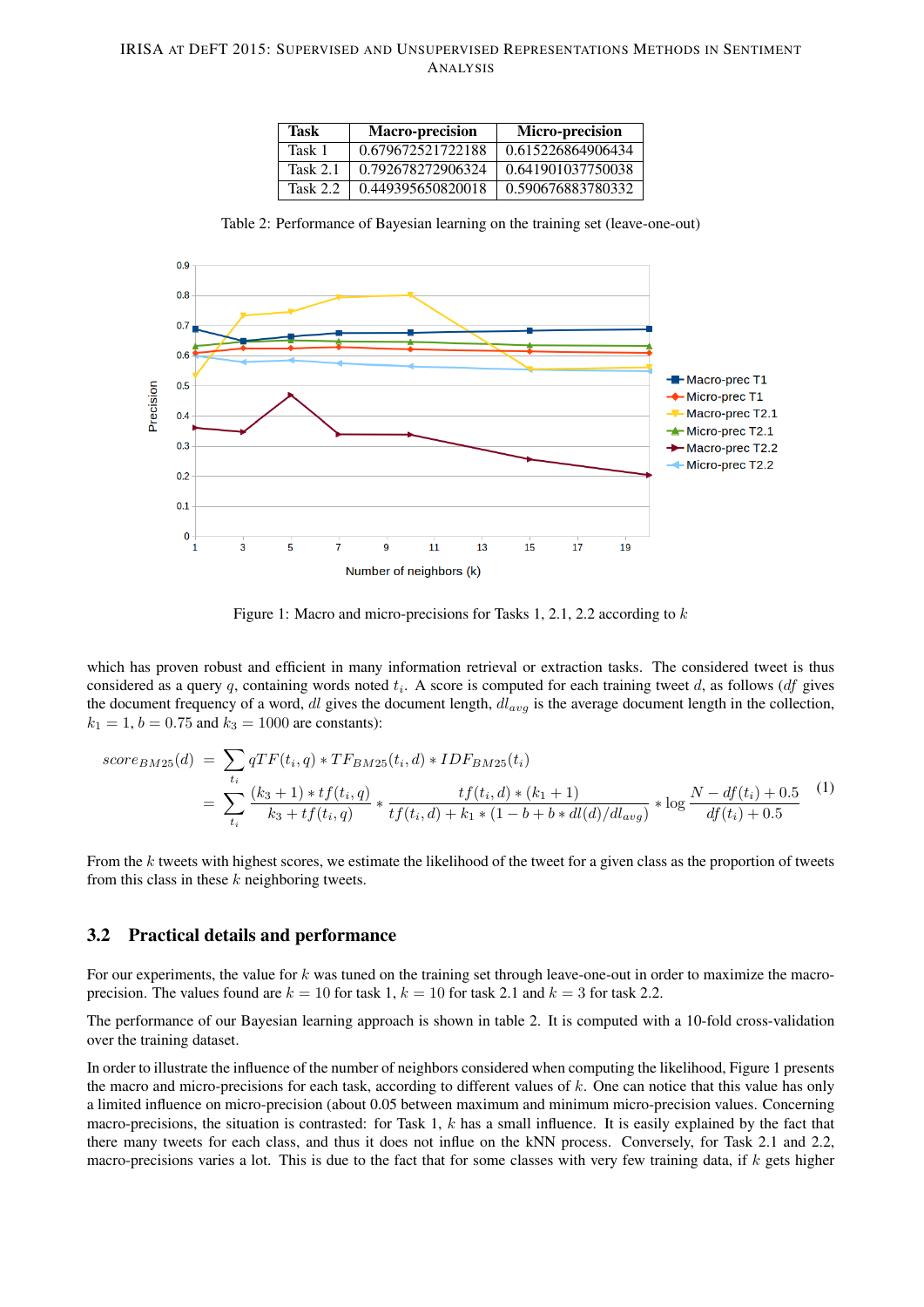| Task     | <b>Macro-precision</b> | Micro-precision   |
|----------|------------------------|-------------------|
| Task 1   | 0.679672521722188      | 0.615226864906434 |
| Task 2.1 | 0.792678272906324      | 0.641901037750038 |
| Task 2.2 | 0.449395650820018      | 0.590676883780332 |

Table 2: Performance of Bayesian learning on the training set (leave-one-out)

<span id="page-4-1"></span><span id="page-4-0"></span>

Figure 1: Macro and micro-precisions for Tasks 1, 2.1, 2.2 according to k

which has proven robust and efficient in many information retrieval or extraction tasks. The considered tweet is thus considered as a query q, containing words noted  $t_i$ . A score is computed for each training tweet d, as follows (df gives the document frequency of a word, dl gives the document length,  $dl_{avg}$  is the average document length in the collection,  $k_1 = 1$ ,  $b = 0.75$  and  $k_3 = 1000$  are constants):

$$
score_{BM25}(d) = \sum_{t_i} qTF(t_i, q) * TF_{BM25}(t_i, d) * IDF_{BM25}(t_i)
$$
  
= 
$$
\sum_{t_i} \frac{(k_3 + 1) * tf(t_i, q)}{k_3 + tf(t_i, q)} * \frac{tf(t_i, d) * (k_1 + 1)}{tf(t_i, d) + k_1 * (1 - b + b * dl(d)/dl_{avg})} * \log \frac{N - df(t_i) + 0.5}{df(t_i) + 0.5}
$$
 (1)

From the k tweets with highest scores, we estimate the likelihood of the tweet for a given class as the proportion of tweets from this class in these  $k$  neighboring tweets.

#### 3.2 Practical details and performance

For our experiments, the value for k was tuned on the training set through leave-one-out in order to maximize the macroprecision. The values found are  $k = 10$  for task 1,  $k = 10$  for task 2.1 and  $k = 3$  for task 2.2.

The performance of our Bayesian learning approach is shown in table [2.](#page-4-0) It is computed with a 10-fold cross-validation over the training dataset.

In order to illustrate the influence of the number of neighbors considered when computing the likelihood, Figure [1](#page-4-1) presents the macro and micro-precisions for each task, according to different values of k. One can notice that this value has only a limited influence on micro-precision (about 0.05 between maximum and minimum micro-precision values. Concerning macro-precisions, the situation is contrasted: for Task 1, k has a small influence. It is easily explained by the fact that there many tweets for each class, and thus it does not influe on the kNN process. Conversely, for Task 2.1 and 2.2, macro-precisions varies a lot. This is due to the fact that for some classes with very few training data, if  $k$  gets higher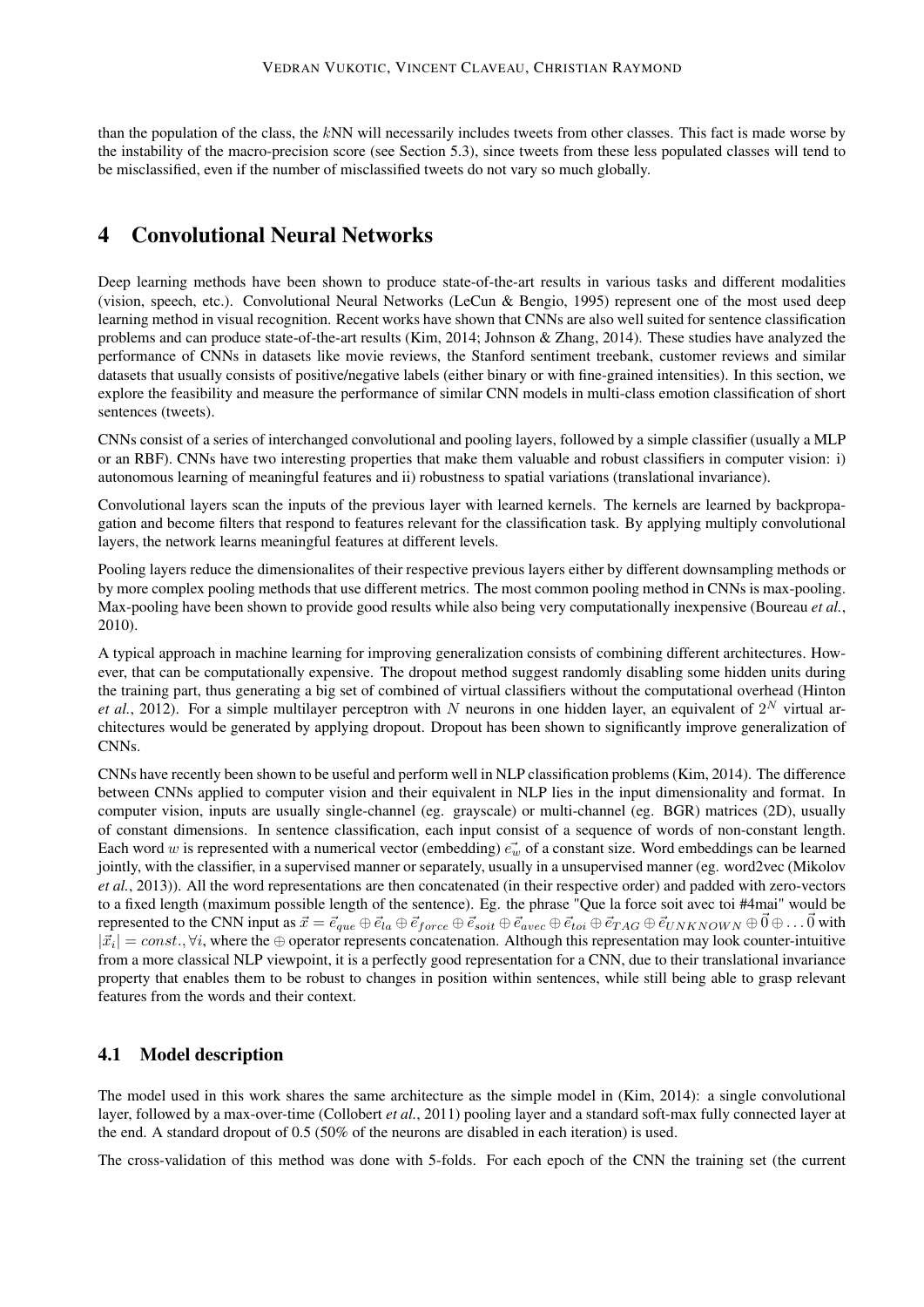than the population of the class, the  $kNN$  will necessarily includes tweets from other classes. This fact is made worse by the instability of the macro-precision score (see Section [5.3\)](#page-9-0), since tweets from these less populated classes will tend to be misclassified, even if the number of misclassified tweets do not vary so much globally.

# <span id="page-5-0"></span>4 Convolutional Neural Networks

Deep learning methods have been shown to produce state-of-the-art results in various tasks and different modalities (vision, speech, etc.). Convolutional Neural Networks [\(LeCun & Bengio, 1995\)](#page-11-3) represent one of the most used deep learning method in visual recognition. Recent works have shown that CNNs are also well suited for sentence classification problems and can produce state-of-the-art results [\(Kim, 2014;](#page-11-4) [Johnson & Zhang, 2014\)](#page-11-5). These studies have analyzed the performance of CNNs in datasets like movie reviews, the Stanford sentiment treebank, customer reviews and similar datasets that usually consists of positive/negative labels (either binary or with fine-grained intensities). In this section, we explore the feasibility and measure the performance of similar CNN models in multi-class emotion classification of short sentences (tweets).

CNNs consist of a series of interchanged convolutional and pooling layers, followed by a simple classifier (usually a MLP or an RBF). CNNs have two interesting properties that make them valuable and robust classifiers in computer vision: i) autonomous learning of meaningful features and ii) robustness to spatial variations (translational invariance).

Convolutional layers scan the inputs of the previous layer with learned kernels. The kernels are learned by backpropagation and become filters that respond to features relevant for the classification task. By applying multiply convolutional layers, the network learns meaningful features at different levels.

Pooling layers reduce the dimensionalites of their respective previous layers either by different downsampling methods or by more complex pooling methods that use different metrics. The most common pooling method in CNNs is max-pooling. Max-pooling have been shown to provide good results while also being very computationally inexpensive [\(Boureau](#page-11-6) *et al.*, [2010\)](#page-11-6).

A typical approach in machine learning for improving generalization consists of combining different architectures. However, that can be computationally expensive. The dropout method suggest randomly disabling some hidden units during the training part, thus generating a big set of combined of virtual classifiers without the computational overhead [\(Hinton](#page-11-7) *[et al.](#page-11-7)*, [2012\)](#page-11-7). For a simple multilayer perceptron with N neurons in one hidden layer, an equivalent of  $2^N$  virtual architectures would be generated by applying dropout. Dropout has been shown to significantly improve generalization of CNNs.

CNNs have recently been shown to be useful and perform well in NLP classification problems [\(Kim, 2014\)](#page-11-4). The difference between CNNs applied to computer vision and their equivalent in NLP lies in the input dimensionality and format. In computer vision, inputs are usually single-channel (eg. grayscale) or multi-channel (eg. BGR) matrices (2D), usually of constant dimensions. In sentence classification, each input consist of a sequence of words of non-constant length. Each word w is represented with a numerical vector (embedding)  $\vec{e_w}$  of a constant size. Word embeddings can be learned jointly, with the classifier, in a supervised manner or separately, usually in a unsupervised manner (eg. word2vec [\(Mikolov](#page-11-8) *[et al.](#page-11-8)*, [2013\)](#page-11-8)). All the word representations are then concatenated (in their respective order) and padded with zero-vectors to a fixed length (maximum possible length of the sentence). Eg. the phrase "Que la force soit avec toi #4mai" would be represented to the CNN input as  $\vec{x} = \vec{e}_{que} \oplus \vec{e}_{la} \oplus \vec{e}_{force} \oplus \vec{e}_{soit} \oplus \vec{e}_{avec} \oplus \vec{e}_{toi} \oplus \vec{e}_{TAG} \oplus \vec{e}_{UNKNOWN} \oplus \vec{0} \oplus ... \vec{0}$  with  $|\vec{x}_i| = const.$ ,  $\forall i$ , where the  $\oplus$  operator represents concatenation. Although this representation may look counter-intuitive from a more classical NLP viewpoint, it is a perfectly good representation for a CNN, due to their translational invariance property that enables them to be robust to changes in position within sentences, while still being able to grasp relevant features from the words and their context.

# 4.1 Model description

The model used in this work shares the same architecture as the simple model in [\(Kim, 2014\)](#page-11-4): a single convolutional layer, followed by a max-over-time [\(Collobert](#page-11-9) *et al.*, [2011\)](#page-11-9) pooling layer and a standard soft-max fully connected layer at the end. A standard dropout of 0.5 (50% of the neurons are disabled in each iteration) is used.

The cross-validation of this method was done with 5-folds. For each epoch of the CNN the training set (the current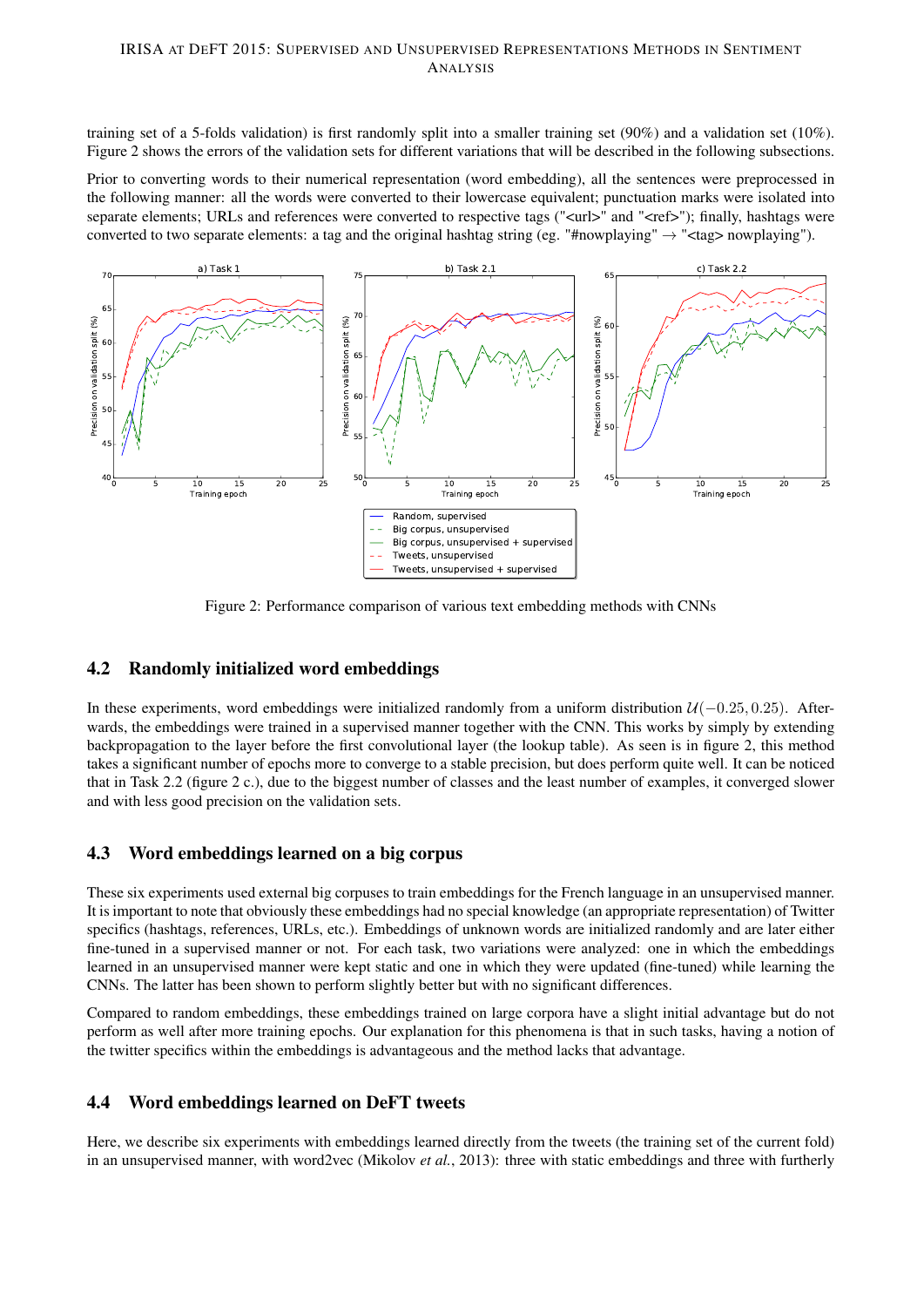training set of a 5-folds validation) is first randomly split into a smaller training set (90%) and a validation set (10%). Figure [2](#page-6-0) shows the errors of the validation sets for different variations that will be described in the following subsections.

Prior to converting words to their numerical representation (word embedding), all the sentences were preprocessed in the following manner: all the words were converted to their lowercase equivalent; punctuation marks were isolated into separate elements; URLs and references were converted to respective tags ("<url>" and "<ref>"); finally, hashtags were converted to two separate elements: a tag and the original hashtag string (eg. "#nowplaying"  $\rightarrow$  "<tag> nowplaying").

<span id="page-6-0"></span>

Figure 2: Performance comparison of various text embedding methods with CNNs

## 4.2 Randomly initialized word embeddings

In these experiments, word embeddings were initialized randomly from a uniform distribution  $\mathcal{U}(-0.25, 0.25)$ . Afterwards, the embeddings were trained in a supervised manner together with the CNN. This works by simply by extending backpropagation to the layer before the first convolutional layer (the lookup table). As seen is in figure [2,](#page-6-0) this method takes a significant number of epochs more to converge to a stable precision, but does perform quite well. It can be noticed that in Task 2.2 (figure [2](#page-6-0) c.), due to the biggest number of classes and the least number of examples, it converged slower and with less good precision on the validation sets.

## 4.3 Word embeddings learned on a big corpus

These six experiments used external big corpuses to train embeddings for the French language in an unsupervised manner. It is important to note that obviously these embeddings had no special knowledge (an appropriate representation) of Twitter specifics (hashtags, references, URLs, etc.). Embeddings of unknown words are initialized randomly and are later either fine-tuned in a supervised manner or not. For each task, two variations were analyzed: one in which the embeddings learned in an unsupervised manner were kept static and one in which they were updated (fine-tuned) while learning the CNNs. The latter has been shown to perform slightly better but with no significant differences.

Compared to random embeddings, these embeddings trained on large corpora have a slight initial advantage but do not perform as well after more training epochs. Our explanation for this phenomena is that in such tasks, having a notion of the twitter specifics within the embeddings is advantageous and the method lacks that advantage.

## 4.4 Word embeddings learned on DeFT tweets

Here, we describe six experiments with embeddings learned directly from the tweets (the training set of the current fold) in an unsupervised manner, with word2vec [\(Mikolov](#page-11-8) *et al.*, [2013\)](#page-11-8): three with static embeddings and three with furtherly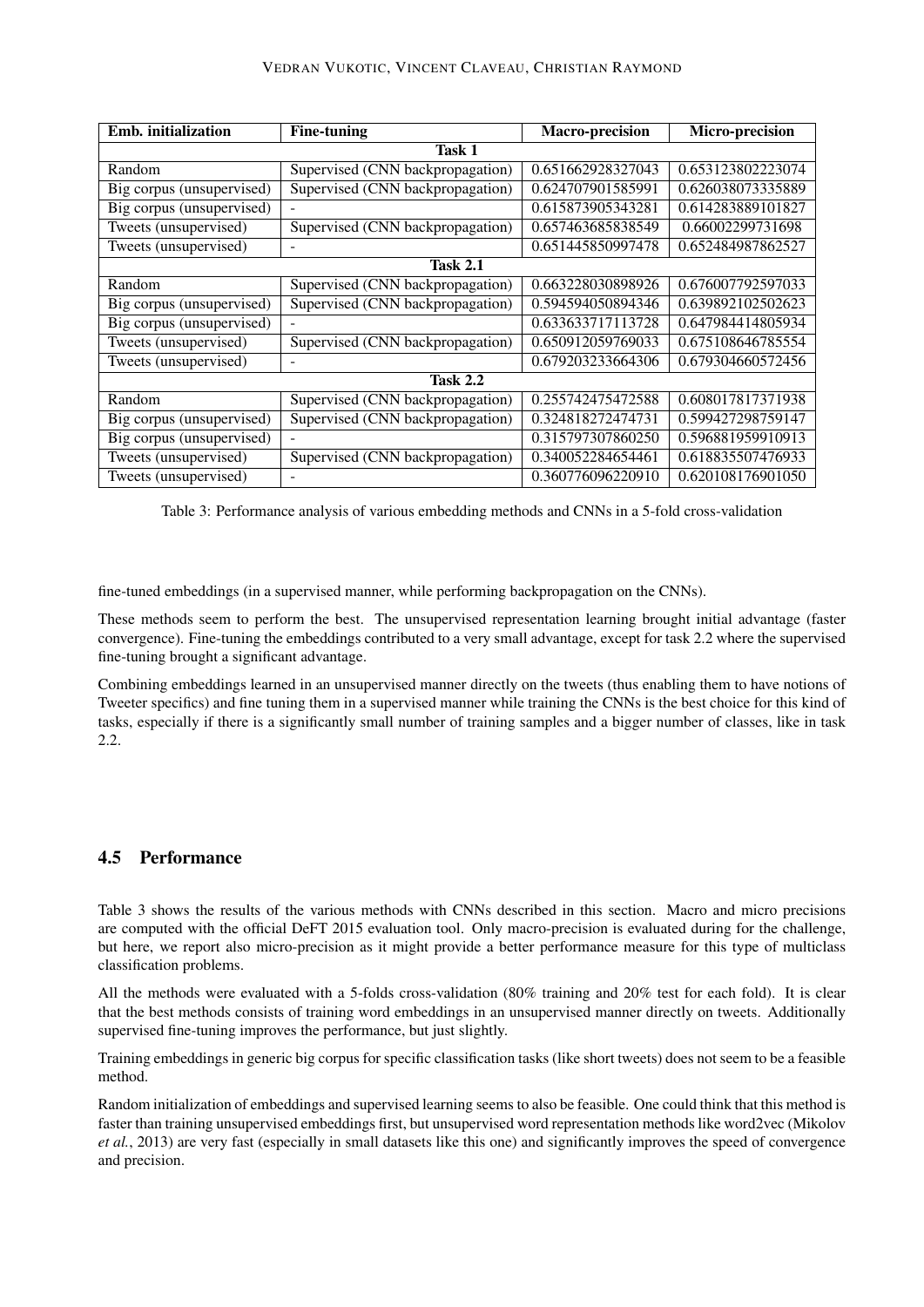<span id="page-7-0"></span>

| Emb. initialization       | <b>Fine-tuning</b>               | <b>Macro-precision</b> | Micro-precision   |
|---------------------------|----------------------------------|------------------------|-------------------|
| Task 1                    |                                  |                        |                   |
| Random                    | Supervised (CNN backpropagation) | 0.651662928327043      | 0.653123802223074 |
| Big corpus (unsupervised) | Supervised (CNN backpropagation) | 0.624707901585991      | 0.626038073335889 |
| Big corpus (unsupervised) |                                  | 0.615873905343281      | 0.614283889101827 |
| Tweets (unsupervised)     | Supervised (CNN backpropagation) | 0.657463685838549      | 0.66002299731698  |
| Tweets (unsupervised)     |                                  | 0.651445850997478      | 0.652484987862527 |
|                           | <b>Task 2.1</b>                  |                        |                   |
| Random                    | Supervised (CNN backpropagation) | 0.663228030898926      | 0.676007792597033 |
| Big corpus (unsupervised) | Supervised (CNN backpropagation) | 0.594594050894346      | 0.639892102502623 |
| Big corpus (unsupervised) |                                  | 0.633633717113728      | 0.647984414805934 |
| Tweets (unsupervised)     | Supervised (CNN backpropagation) | 0.650912059769033      | 0.675108646785554 |
| Tweets (unsupervised)     |                                  | 0.679203233664306      | 0.679304660572456 |
| <b>Task 2.2</b>           |                                  |                        |                   |
| Random                    | Supervised (CNN backpropagation) | 0.255742475472588      | 0.608017817371938 |
| Big corpus (unsupervised) | Supervised (CNN backpropagation) | 0.324818272474731      | 0.599427298759147 |
| Big corpus (unsupervised) |                                  | 0.315797307860250      | 0.596881959910913 |
| Tweets (unsupervised)     | Supervised (CNN backpropagation) | 0.340052284654461      | 0.618835507476933 |
| Tweets (unsupervised)     |                                  | 0.360776096220910      | 0.620108176901050 |

Table 3: Performance analysis of various embedding methods and CNNs in a 5-fold cross-validation

fine-tuned embeddings (in a supervised manner, while performing backpropagation on the CNNs).

These methods seem to perform the best. The unsupervised representation learning brought initial advantage (faster convergence). Fine-tuning the embeddings contributed to a very small advantage, except for task 2.2 where the supervised fine-tuning brought a significant advantage.

Combining embeddings learned in an unsupervised manner directly on the tweets (thus enabling them to have notions of Tweeter specifics) and fine tuning them in a supervised manner while training the CNNs is the best choice for this kind of tasks, especially if there is a significantly small number of training samples and a bigger number of classes, like in task 2.2.

### 4.5 Performance

Table [3](#page-7-0) shows the results of the various methods with CNNs described in this section. Macro and micro precisions are computed with the official DeFT 2015 evaluation tool. Only macro-precision is evaluated during for the challenge, but here, we report also micro-precision as it might provide a better performance measure for this type of multiclass classification problems.

All the methods were evaluated with a 5-folds cross-validation (80% training and 20% test for each fold). It is clear that the best methods consists of training word embeddings in an unsupervised manner directly on tweets. Additionally supervised fine-tuning improves the performance, but just slightly.

Training embeddings in generic big corpus for specific classification tasks (like short tweets) does not seem to be a feasible method.

Random initialization of embeddings and supervised learning seems to also be feasible. One could think that this method is faster than training unsupervised embeddings first, but unsupervised word representation methods like word2vec [\(Mikolov](#page-11-8) *[et al.](#page-11-8)*, [2013\)](#page-11-8) are very fast (especially in small datasets like this one) and significantly improves the speed of convergence and precision.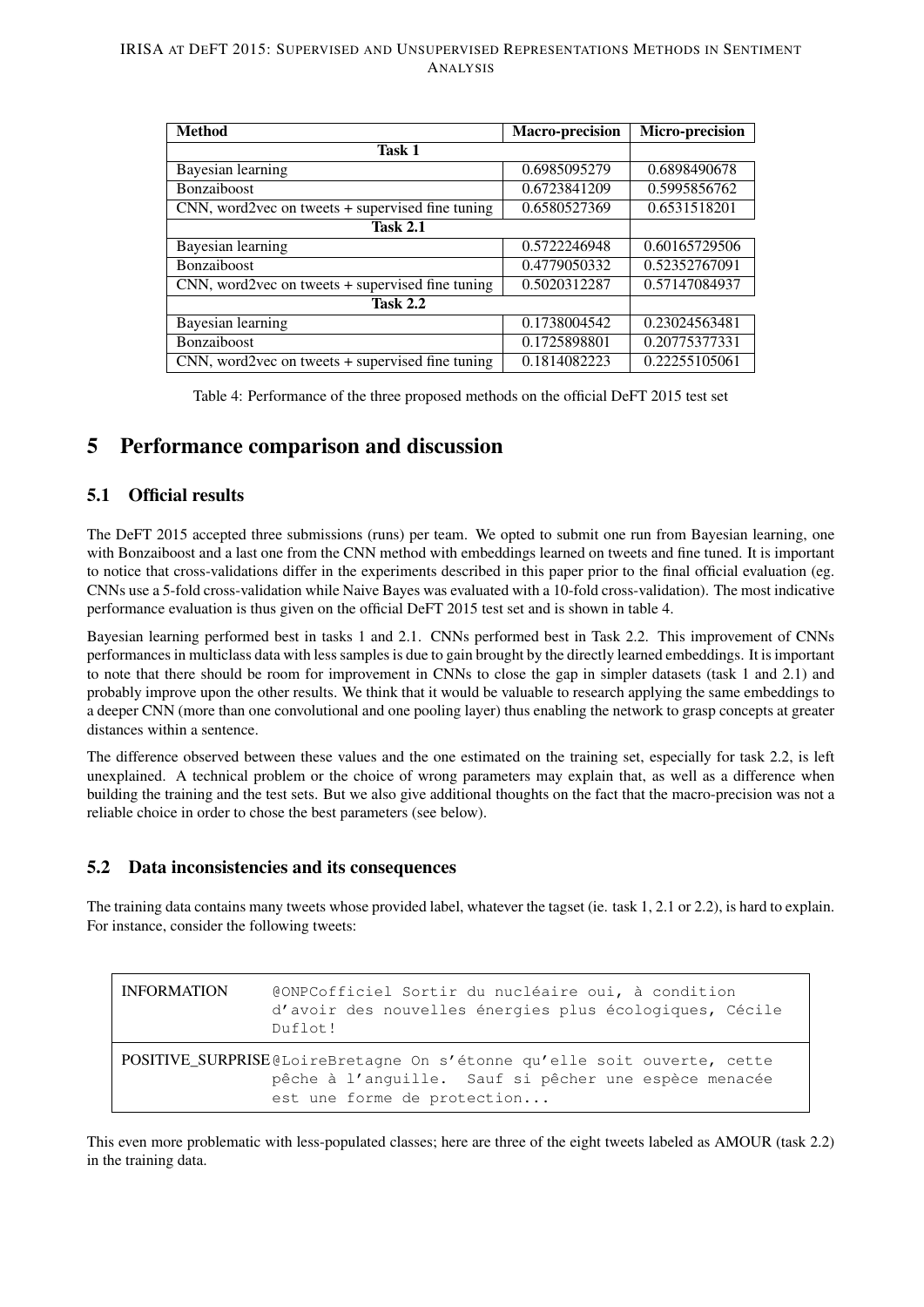<span id="page-8-1"></span>

| <b>Method</b>                                    | Macro-precision | Micro-precision |
|--------------------------------------------------|-----------------|-----------------|
| Task 1                                           |                 |                 |
| Bayesian learning                                | 0.6985095279    | 0.6898490678    |
| Bonzaiboost                                      | 0.6723841209    | 0.5995856762    |
| CNN, word2vec on tweets + supervised fine tuning | 0.6580527369    | 0.6531518201    |
| <b>Task 2.1</b>                                  |                 |                 |
| Bayesian learning                                | 0.5722246948    | 0.60165729506   |
| <b>Bonzaiboost</b>                               | 0.4779050332    | 0.52352767091   |
| CNN, word2vec on tweets + supervised fine tuning | 0.5020312287    | 0.57147084937   |
| <b>Task 2.2</b>                                  |                 |                 |
| Bayesian learning                                | 0.1738004542    | 0.23024563481   |
| <b>Bonzaiboost</b>                               | 0.1725898801    | 0.20775377331   |
| CNN, word2vec on tweets + supervised fine tuning | 0.1814082223    | 0.22255105061   |

Table 4: Performance of the three proposed methods on the official DeFT 2015 test set

# <span id="page-8-0"></span>5 Performance comparison and discussion

# 5.1 Official results

The DeFT 2015 accepted three submissions (runs) per team. We opted to submit one run from Bayesian learning, one with Bonzaiboost and a last one from the CNN method with embeddings learned on tweets and fine tuned. It is important to notice that cross-validations differ in the experiments described in this paper prior to the final official evaluation (eg. CNNs use a 5-fold cross-validation while Naive Bayes was evaluated with a 10-fold cross-validation). The most indicative performance evaluation is thus given on the official DeFT 2015 test set and is shown in table [4.](#page-8-1)

Bayesian learning performed best in tasks 1 and 2.1. CNNs performed best in Task 2.2. This improvement of CNNs performances in multiclass data with less samples is due to gain brought by the directly learned embeddings. It is important to note that there should be room for improvement in CNNs to close the gap in simpler datasets (task 1 and 2.1) and probably improve upon the other results. We think that it would be valuable to research applying the same embeddings to a deeper CNN (more than one convolutional and one pooling layer) thus enabling the network to grasp concepts at greater distances within a sentence.

The difference observed between these values and the one estimated on the training set, especially for task 2.2, is left unexplained. A technical problem or the choice of wrong parameters may explain that, as well as a difference when building the training and the test sets. But we also give additional thoughts on the fact that the macro-precision was not a reliable choice in order to chose the best parameters (see below).

## 5.2 Data inconsistencies and its consequences

The training data contains many tweets whose provided label, whatever the tagset (ie. task 1, 2.1 or 2.2), is hard to explain. For instance, consider the following tweets:

| <b>INFORMATION</b> | CONPCofficiel Sortir du nucléaire oui, à condition<br>d'avoir des nouvelles énergies plus écologiques, Cécile<br>Duflot!                                        |  |
|--------------------|-----------------------------------------------------------------------------------------------------------------------------------------------------------------|--|
|                    | POSITIVE_SURPRISE@LoireBretagne On s'étonne qu'elle soit ouverte, cette<br>pêche à l'anquille. Sauf si pêcher une espèce menacée<br>est une forme de protection |  |

This even more problematic with less-populated classes; here are three of the eight tweets labeled as AMOUR (task 2.2) in the training data.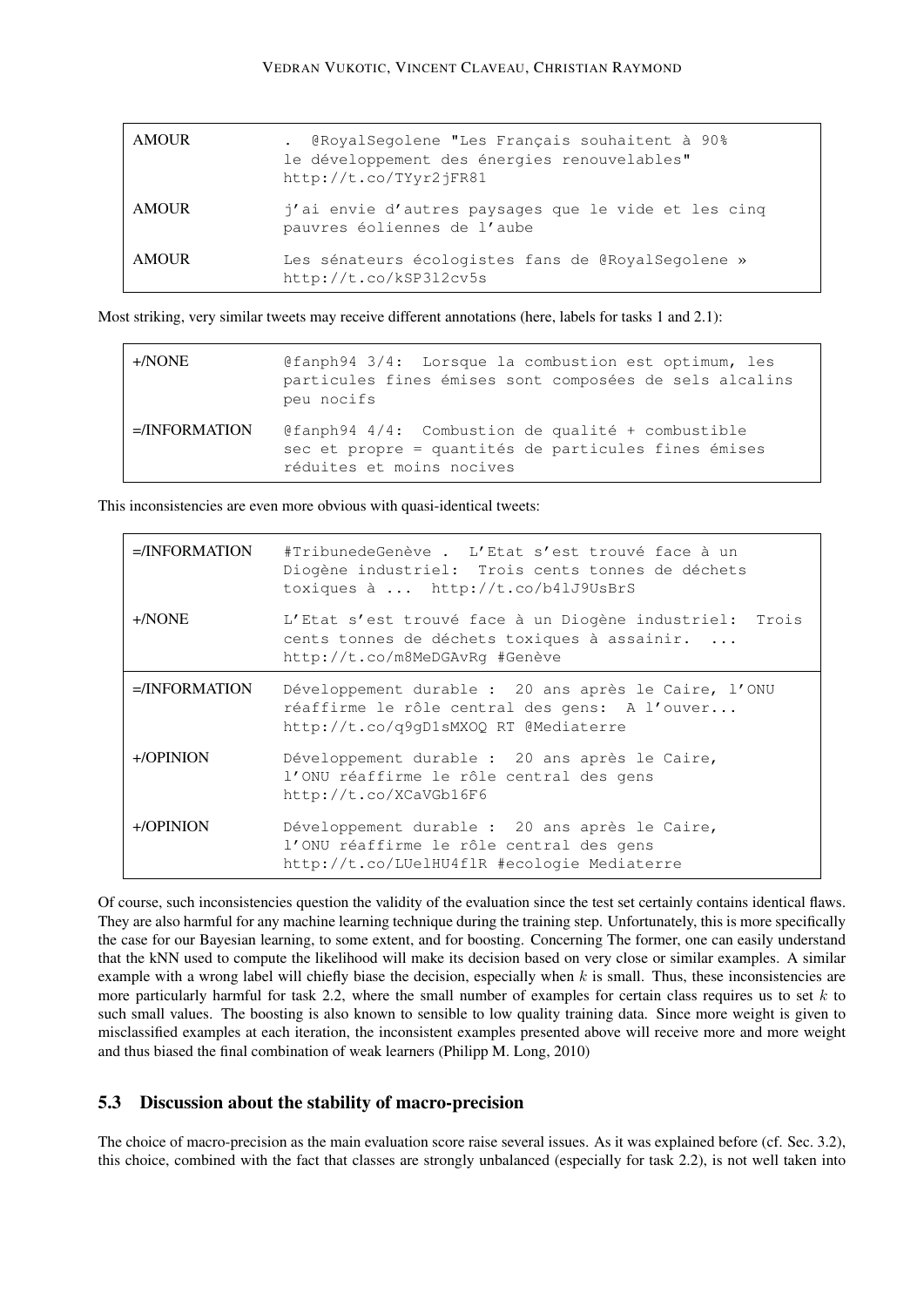| AMOUR        | . @RoyalSegolene "Les Français souhaitent à 90%<br>le développement des énergies renouvelables"<br>http://t.co/TYyr2jFR81 |
|--------------|---------------------------------------------------------------------------------------------------------------------------|
| AMOUR        | j'ai envie d'autres paysages que le vide et les cing<br>pauvres éoliennes de l'aube                                       |
| <b>AMOUR</b> | Les sénateurs écologistes fans de @RoyalSegolene »<br>http://t.co/kSP312cv5s                                              |

Most striking, very similar tweets may receive different annotations (here, labels for tasks 1 and 2.1):

| $+/NONE$         | @fanph94 3/4: Lorsque la combustion est optimum, les<br>particules fines émises sont composées de sels alcalins<br>peu nocifs                |
|------------------|----------------------------------------------------------------------------------------------------------------------------------------------|
| $=$ /INFORMATION | $\ell$ fanph94 4/4: Combustion de qualité + combustible<br>sec et propre = quantités de particules fines émises<br>réduites et moins nocives |

This inconsistencies are even more obvious with quasi-identical tweets:

| $=$ /INFORMATION | #TribunedeGenève . L'Etat s'est trouvé face à un<br>Diogène industriel: Trois cents tonnes de déchets<br>toxiques à  http://t.co/b41J9UsBrS    |
|------------------|------------------------------------------------------------------------------------------------------------------------------------------------|
| $+/NONE$         | L'Etat s'est trouvé face à un Diogène industriel: Trois<br>cents tonnes de déchets toxiques à assainir.<br>http://t.co/m8MeDGAvRq #Genève      |
| $=$ /INFORMATION | Développement durable : 20 ans après le Caire, l'ONU<br>réaffirme le rôle central des gens: A l'ouver<br>http://t.co/q9qD1sMXOQ RT @Mediaterre |
| $+$ /OPINION     | Développement durable : 20 ans après le Caire,<br>l'ONU réaffirme le rôle central des gens<br>http://t.co/XCaVGb16F6                           |
| $+$ /OPINION     | Développement durable : 20 ans après le Caire,<br>l'ONU réaffirme le rôle central des gens<br>http://t.co/LUelHU4flR #ecologie Mediaterre      |

Of course, such inconsistencies question the validity of the evaluation since the test set certainly contains identical flaws. They are also harmful for any machine learning technique during the training step. Unfortunately, this is more specifically the case for our Bayesian learning, to some extent, and for boosting. Concerning The former, one can easily understand that the kNN used to compute the likelihood will make its decision based on very close or similar examples. A similar example with a wrong label will chiefly biase the decision, especially when  $k$  is small. Thus, these inconsistencies are more particularly harmful for task 2.2, where the small number of examples for certain class requires us to set  $k$  to such small values. The boosting is also known to sensible to low quality training data. Since more weight is given to misclassified examples at each iteration, the inconsistent examples presented above will receive more and more weight and thus biased the final combination of weak learners [\(Philipp M. Long, 2010\)](#page-11-10)

# <span id="page-9-0"></span>5.3 Discussion about the stability of macro-precision

The choice of macro-precision as the main evaluation score raise several issues. As it was explained before (cf. Sec. [3.2\)](#page-4-1), this choice, combined with the fact that classes are strongly unbalanced (especially for task 2.2), is not well taken into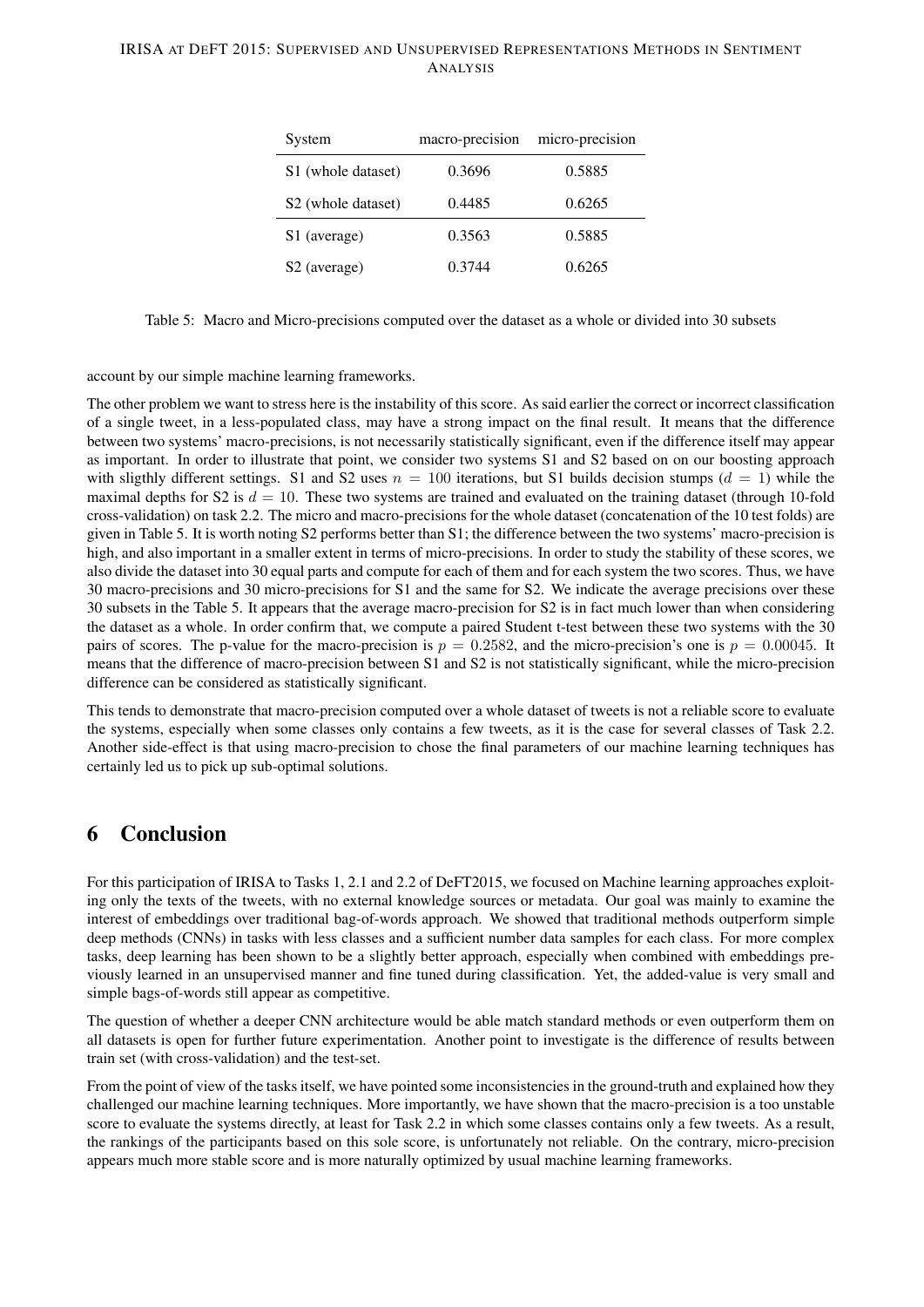<span id="page-10-1"></span>

| System                         | macro-precision | micro-precision |
|--------------------------------|-----------------|-----------------|
| S1 (whole dataset)             | 0.3696          | 0.5885          |
| S <sub>2</sub> (whole dataset) | 0.4485          | 0.6265          |
| S1 (average)                   | 0.3563          | 0.5885          |
| S <sub>2</sub> (average)       | 0.3744          | 0.6265          |

Table 5: Macro and Micro-precisions computed over the dataset as a whole or divided into 30 subsets

account by our simple machine learning frameworks.

The other problem we want to stress here is the instability of this score. As said earlier the correct or incorrect classification of a single tweet, in a less-populated class, may have a strong impact on the final result. It means that the difference between two systems' macro-precisions, is not necessarily statistically significant, even if the difference itself may appear as important. In order to illustrate that point, we consider two systems S1 and S2 based on on our boosting approach with sligthly different settings. S1 and S2 uses  $n = 100$  iterations, but S1 builds decision stumps ( $d = 1$ ) while the maximal depths for S2 is  $d = 10$ . These two systems are trained and evaluated on the training dataset (through 10-fold cross-validation) on task 2.2. The micro and macro-precisions for the whole dataset (concatenation of the 10 test folds) are given in Table [5.](#page-10-1) It is worth noting S2 performs better than S1; the difference between the two systems' macro-precision is high, and also important in a smaller extent in terms of micro-precisions. In order to study the stability of these scores, we also divide the dataset into 30 equal parts and compute for each of them and for each system the two scores. Thus, we have 30 macro-precisions and 30 micro-precisions for S1 and the same for S2. We indicate the average precisions over these 30 subsets in the Table [5.](#page-10-1) It appears that the average macro-precision for S2 is in fact much lower than when considering the dataset as a whole. In order confirm that, we compute a paired Student t-test between these two systems with the 30 pairs of scores. The p-value for the macro-precision is  $p = 0.2582$ , and the micro-precision's one is  $p = 0.00045$ . It means that the difference of macro-precision between S1 and S2 is not statistically significant, while the micro-precision difference can be considered as statistically significant.

This tends to demonstrate that macro-precision computed over a whole dataset of tweets is not a reliable score to evaluate the systems, especially when some classes only contains a few tweets, as it is the case for several classes of Task 2.2. Another side-effect is that using macro-precision to chose the final parameters of our machine learning techniques has certainly led us to pick up sub-optimal solutions.

# <span id="page-10-0"></span>6 Conclusion

For this participation of IRISA to Tasks 1, 2.1 and 2.2 of DeFT2015, we focused on Machine learning approaches exploiting only the texts of the tweets, with no external knowledge sources or metadata. Our goal was mainly to examine the interest of embeddings over traditional bag-of-words approach. We showed that traditional methods outperform simple deep methods (CNNs) in tasks with less classes and a sufficient number data samples for each class. For more complex tasks, deep learning has been shown to be a slightly better approach, especially when combined with embeddings previously learned in an unsupervised manner and fine tuned during classification. Yet, the added-value is very small and simple bags-of-words still appear as competitive.

The question of whether a deeper CNN architecture would be able match standard methods or even outperform them on all datasets is open for further future experimentation. Another point to investigate is the difference of results between train set (with cross-validation) and the test-set.

From the point of view of the tasks itself, we have pointed some inconsistencies in the ground-truth and explained how they challenged our machine learning techniques. More importantly, we have shown that the macro-precision is a too unstable score to evaluate the systems directly, at least for Task 2.2 in which some classes contains only a few tweets. As a result, the rankings of the participants based on this sole score, is unfortunately not reliable. On the contrary, micro-precision appears much more stable score and is more naturally optimized by usual machine learning frameworks.